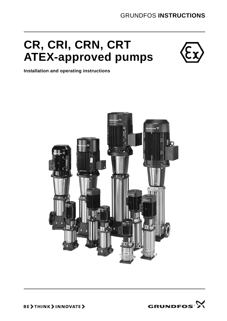# **CR, CRI, CRN, CRT ATEX-approved pumps**



**Installation and operating instructions**



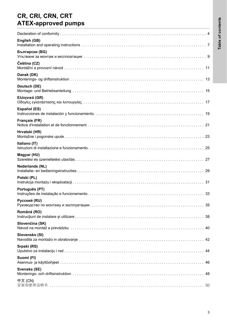## **CR, CRI, CRN, CRT ATEX-approved pumps**

| English (GB)           |
|------------------------|
| Български (BG)         |
| Čeština (CZ)           |
| Dansk (DK)             |
| Deutsch (DE)           |
| Ελληνικά (GR)          |
| <b>Español (ES)</b>    |
| Français (FR)          |
| Hrvatski (HR)          |
| Italiano (IT)          |
| Magyar (HU)            |
| <b>Nederlands (NL)</b> |
| Polski (PL)            |
| Português (PT)<br>33   |
| Русский (RU)<br>35     |
| Română (RO)<br>38      |
| Slovenčina (SK)        |
| Slovensko (SI)<br>42   |
| Srpski (RS)<br>44      |
| Suomi (FI)             |
| Svenska (SE)           |
| 中文 (CN)                |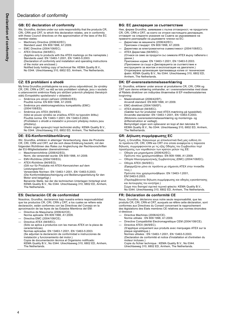## **GB: EC declaration of conformity**

We, Grundfos, declare under our sole responsibility that the products CR, CRI, CRN and CRT, to which this declaration relates, are in conformity with these Council directives on the approximation of the laws of the EC member states:

- Machinery Directive (2006/42/EC).
- Standard used: EN 809:1998, A1:2009.
- EMC Directive (2004/108/EC). ATEX Directive (94/9/EC).
- (Applies only to products with the ATEX markings on the nameplate.) Standards used: EN 13463-1:2001, EN 13463-5:2003. (Declaration of conformity and installation and operating instructions of the motor are enclosed.)

Notified body holding copy of technical file: KEMA Quality B.V., No 0344. Utrechtseweg 310, 6802 ED, Arnhem, The Netherlands.

## **CZ: ES prohlášení o shodě**

My firma Grundfos prohlašujeme na svou plnou odpovědnost, že výrobky CR, CRI, CRN a CRT, na něž se toto prohlášení vztahuje, jsou v souladu s ustanoveními směrnice Rady pro sblížení právních předpisů členských států Evropského společenství v oblastech:

- Směrnice pro strojní zařízení (2006/42/ES).
- Použitá norma: EN 809:1998, A1:2009.
- Směrnice pro elektromagnetickou kompatibilitu (EMC) (2004/108/ES).
- Směrnice pro ATEX (94/9/ES). (týká se pouze výrobků se značkou ATEX na typovém štítku) Použitá norma: EN 13463-1:2001, EN 13463-5:2003. (Prohlášení o shodě a instalační a provozní předpisy motoru jsou přiloženy).

Úřední orgán spravující kopii technické složky: KEMA Quality B.V., No 0344. Utrechtseweg 310, 6802 ED, Arnhem, The Netherlands.

### **DE: EG-Konformitätserklärung**

Wir, Grundfos, erklären in alleiniger Verantwortung, dass die Produkte CR, CRI, CRN und CRT, auf die sich diese Erklärung bezieht, mit den folgenden Richtlinien des Rates zur Angleichung der Rechtsvorschriften der EU-Mitgliedsstaaten übereinstimmen:

- Maschinenrichtlinie (2006/42/EG).
- Norm, die verwendet wurde: EN 809:1998, A1:2009. — EMV-Richtlinie (2004/108/EG).
- ATEX-Richtlinie (94/9/EG).
	- (Gilt nur für Produkte mit ATEX-Kennzeichen auf dem Leistungsschild.)

Verwendete Normen: EN 13463-1:2001, EN 13463-5:2003. (Die Konformitätsbescheinigung und Bedienungsanleitung für den Motor sind beigefügt.)

Benannte Stelle, bei der die technischen Unterlagen hinterlegt sind: KEMA Quality B.V., No 0344. Utrechtseweg 310, 6802 ED, Arnhem, The Netherlands.

### **ES: Declaración CE de conformidad**

Nosotros, Grundfos, declaramos bajo nuestra entera responsabilidad que los productos CR, CRI, CRN y CRT, a los cuales se refiere esta declaración, están conformes con las Directivas del Consejo en la aproximación de las leyes de las Estados Miembros del EM:

- Directiva de Maquinaria (2006/42/CE).
- Norma aplicada: EN 809:1998, A1:2009.
- Directiva EMC (2004/108/CE).

Directiva ATEX (94/9/EC). (Sólo se aplica a productos con las marcas ATEX en la placa de características).

Normas aplicadas: EN 13463-1:2001, EN 13463-5:2003. (Se adjuntan la declaración de conformidad e instrucciones de instalación y funcionamiento del motor.)

Copia de documentación técnica al Organismo notificado: KEMA Quality B.V., No 0344. Utrechtseweg 310, 6802 ED, Arnhem, The Netherlands.

### **BG: EC декларация за съответствие**

Ние, фирма Grundfos, заявяваме с пълна отговорност, че продуктите CR, CRI, CRN и CRT, за които се отнася настоящата декларация, отговарят на следните указания на Съвета за уеднаквяване на правните разпоредби на държавите членки на ЕС:

- Директива за машините (2006/42/EC).
- Приложен стандарт: EN 809:1998, A1:2009.
- Директива за електромагнитна съвместимост (2004/108/EC). — ATEX Директива (94/9/EC).
- (Отнася се само за продукти със символа ATEX върху табелата с данни.)

Приложени норми: EN 13463-1:2001, EN 13463-5:2003. (Приложени са също и Декларацията за съответствие и инструкциите за монтаж и експлоатация на двигателя.) Оторизирана организация притежаваща копие от техническия файл: KEMA Quality B.V., No 0344. Utrechtseweg 310, 6802 ED, Arnhem, The Netherlands.

### **DK: EF-overensstemmelseserklæring**

Vi, Grundfos, erklærer under ansvar at produkterne CR, CRI, CRN og CRT som denne erklæring omhandler, er i overensstemmelse med disse af Rådets direktiver om indbyrdes tilnærmelse til EF-medlemsstaternes lovgivning:

- Maskindirektivet (2006/42/EF).
- Anvendt standard: EN 809:1998, A1:2009.
- EMC-direktivet (2004/108/EF).

— ATEX-direktivet (94/9/EC). (Gælder kun for produkter med ATEX-mærkning på typeskiltet). Anvendte standarder: EN 13463-1:2001, EN 13463-5:2003. (Motorens overensstemmelseserklæring og monterings- og driftsinstruktion er vedlagt).

Bemyndiget organ som opbevarer en kopi af den tekniske fil: KEMA Quality B.V., No 0344. Utrechtseweg 310, 6802 ED, Arnhem, The Netherlands.

## **GR: ∆ήλωση συμμόρφωσης EC**

Εμείς, η Grundfos, δηλώνουμε με αποκλειστικά δική μας ευθύνη ότι τα προϊόντα CR, CRI, CRN και CRT στα οποία αναφέρεται η παρούσα δήλωση, συμμορφώνονται με τις εξής Οδηγίες του Συμβουλίου περί προσέγγισης των νομοθεσιών των κρατών μελών της ΕΕ:

- Οδηγία για μηχανήματα (2006/42/EC).
- Πρότυπο που χρησιμοποιήθηκε: EN 809:1998, A1:2009. — Οδηγία Ηλεκτρομαγνητικής Συμβατότητας (EMC) (2004/108/EC).
- Οδηγία ATEX (94/9/EC).
	- (Εφαρμόζεται μόνο σε προϊόντα με σήμανση ATEX στην πινακίδα τους.)
		- Πρότυπα που χρησιμοποιήθηκαν: EN 13463-1:2001, EN13463-5:2003.

(Περιλαμβάνονται δήλωση συμμόρφωσης και οδηγίες εγκατάστασης και λειτουργίας του κινητήρα.)

Σώμα που διατηρεί σχετικό τεχνικό φάκελο: KEMA Quality B.V., No 0344. Utrechtseweg 310, 6802 ED, Arnhem, The Netherlands.

### **FR: Déclaration de conformité CE**

Nous, Grundfos, déclarons sous notre seule responsabilité, que les produits CR, CRI, CRN et CRT, auxquels se réfère cette déclaration, sont conformes aux Directives du Conseil concernant le rapprochement des législations des Etats membres CE relatives aux normes énoncées ci-dessous :

- Directive Machines (2006/42/CE).
- Norme utilisée : EN 809:1998, A1:2009.
- Directive Compatibilité Electromagnétique CEM (2004/108/CE). Directive ATEX (94/9/EC).
- (S'applique uniquement aux produits avec marquages ATEX sur la plaque signalétique.)

Normes utlisées : EN 13463-1:2001, EN 13463-5:2003. (Declaration de conformité et notice d'installation et d'entretien du moteur incluses.)

Copie du fichier technique : KEMA Quality B.V., No 0344. Utrechtseweg 310, 6802 ED, Arnhem, The Netherlands.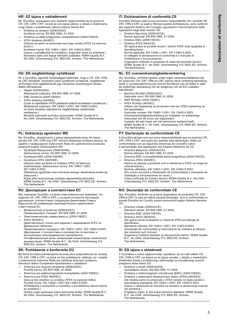## **HR: EZ izjava o usklađenosti**

Mi, Grundfos, izjavljujemo pod vlastitom odgovornošću da je proizvod CR, CRI, CRN i CRT, na koji se ova izjava odnosi, u skladu s direktivama ovog Vijeća o usklađivanju zakona država članica EU:

- Direktiva za strojeve (2006/42/EZ). Korištena norma: EN 809:1998, A1:2009.
- Direktiva za elektromagnetsku kompatibilnost (2004/108/EZ).
- ATEX direktiva (94/9/EC). (Odnosi se samo na proizvode koji imaju oznaku ATEX na nazivnoj pločici.)

Korištene norme: EN 13463-1:2001, EN 13463-5:2003. (Izjava o usklađenosti te montažne i pogonske upute su priložene.) Navedeno tijelo drži kopije tehničkih podataka: KEMA Quality B.V., No 0344. Utrechtseweg 310, 6802 ED, Arnhem, The Netherlands.

### **HU: EK megfelelőségi nyilatkozat**

Mi, a Grundfos, egyedüli felelősséggel kijelentjük, hogy a CR, CRI, CRN és CRT termékek, amelyekre jelen nyilatkozik vonatkozik, megfelelnek az Európai Unió tagállamainak jogi irányelveit összehangoló tanács alábbi előírásainak:

- Gépek (2006/42/EK).
- Alkalmazott szabvány: EN 809:1998, A1:2009.
- EMC Direktíva (2004/108/EK).
- ATEX direktíva (94/9/EK). (Csak az adattáblán ATEX jelöléssel ellátott termékekre vonatkozik.) Alkalmazott szabvány: EN 13463-1:2001, EN 13463-5:2003. (A motor kezelési utasítása és megfelelőségi nyilatkozata mellékelve.)

Minősítő szervezet technikai azonosítója: KEMA Quality B.V., No 0344. Utrechtseweg 310, 6802 ED, Arnhem, The Netherlands.

### **PL: Deklaracja zgodności WE**

My, Grundfos, oświadczamy z pełną odpowiedzialnością, że nasze wyroby CR, CRI, CRN oraz CRT, których deklaracja niniejsza dotyczy, są zgodne z następującymi wytycznymi Rady d/s ujednolicenia przepisów prawnych krajów członkowskich WE:

- Dyrektywa Maszynowa (2006/42/WE).
- Zastosowana norma: EN 809:1998, A1:2009.
- Dyrektywa EMC (2004/108/WE).
- Dyrektywa ATEX (94/9/WE). (dotyczy tylko wyrobów ze znakiem ATEX na tabliczce znamionowej). Zastosowane normy: EN 13463-1:2001, EN 13463-5:2003.
- (Deklaracja zgodności oraz instrukcja obsługi i eksploatacji silnika są załączone.)

Kopie pliku technicznego posiada odpowiednia jednostka: KEMA Quality B.V., No 0344. Utrechtseweg 310, 6802 ED, Arnhem, The Netherlands.

### **RU: Декларация о соответствии ЕС**

Мы, компания Grundfos, со всей ответственностью заявляем, что изделия CR, CRI, CRN и CRT, к которым относится настоящая декларация, соответствуют следующим Директивам Совета Евросоюза об унификации законодательных предписаний стран-членов ЕС:

- Механические устройства (2006/42/ЕС).
- Применявшийся стандарт: EN 809:1998, A1:2009.
- Электромагнитная совместимость (2004/108/EC).
- ATEX (94/9/EC).

(Действительно только для изделий с маркировкой ATEX на фирменной табличке).

Применявшиеся стандарты: EN 13463-1:2001, EN 13463-5:2003. (Декларация о соответствии и руководство по монтажу и эксплуатации электродвигателя прилагаются).

Нотификационный орган, владеющий экземпляром технической документации: KEMA Quality B.V., No 0344. Utrechtseweg 310, 6802 ED, Arnhem, The Netherlands.

## **SK: Prehlásenie o konformite EÚ**

My firma Grundfos prehlasujeme na svoju plnú zodpovednosť, že výrobky CR, CRI, CRN a CRT, na ktoré sa toto prehlásenie vzt'ahuje, sú v súlade s ustanovením smernice Rady pre zblíženie právnych predpisov členských štátov Európskeho spoločenstva v oblastiach:

- Smernica pre strojové zariadenie (2006/42/EC). Použitá norma: EN 809:1998, A1:2009.
- 
- Smernica pre elektromagnetickú kompatibilitu (2004/108/EC). — Smernica pre ATEX (94/9/EC). (týka sa iba výrobkov so značkou ATEX na typovom štítku) Použité normy: EN 13463-1:2001 EN 13463-5:2003. (Prehlásenie o konformite a montážny a prevádzkový návod motora sú priložené.)

Úradný orgán spravujúci kópiu technickej zložky: KEMA Quality B.V., No 0344. Utrechtseweg 310, 6802 ED, Arnhem, The Netherlands.

## **IT: Dichiarazione di conformità CE**

Grundfos dichiara sotto la sua esclusiva responsabilità che i prodotti CR, CRI, CRN e CRT, ai quali si riferisce questa dichiarazione, sono conformi alle seguenti direttive del Consiglio riguardanti il riavvicinamento delle legislazioni degli Stati membri CE:

- Direttiva Macchine (2006/42/CE). Norma applicata: EN 809:1998, A1:2009.
- Direttiva EMC (2004/108/CE).
- Direttiva ATEX (94/9/CE)
- (Si applica solo ai prodotti recanti i marchi ATEX sulla targhetta di identificazione). Norme applicate: EN 13463-1:2001, EN 13463-5:2003. (In allegato la dichiarazione di conformità e il manuale di

installazione e funzionamento). Organismo notificato in possesso di copia del fascicolo tecnico: KEMA Quality B.V., No 0344. Utrechtseweg 310, 6802 ED, Arnhem, The Netherlands.

## **NL: EC overeenkomstigheidsverklaring**

Wij, Grundfos, verklaren geheel onder eigen verantwoordelijkheid dat de producten CR, CRI, CRN en CRT waarop deze verklaring betrekking heeft, in overeenstemming zijn met de Richtlijnen van de Raad in zake de onderlinge aanpassing van de wetgeving van de EG Lidstaten betreffende:

- Machine Richtlijn (2006/42/EC). Gebruikte norm: EN 809:1998, A1:2009.
- EMC Richtlijn (2004/108/EC).
- ATEX Richtlijn (94/9/EC).
- (Alleen van toepassing op producten met een ATEX markering op het typeplaatje). Gebruikte normen: EN 13463-1:2001, EN 13463-5:2003. (Overeenkomstigheidsverklaring en installatie- en bedieningsinstructies van de motor zijn bijgesloten).

Instantie die een kopie van het technische bestand heeft: KEMA Quality B.V., No 0344. Utrechtseweg 310, 6802 ED, Arnhem, The Netherlands.

### **PT: Declaração de conformidade CE**

A Grundfos declara sob sua única responsabilidade que os produtos CR, CRI, CRN e CRT, aos quais diz respeito esta declaração, estão em conformidade com as seguintes Directivas do Conselho sobre a aproximação das legislações dos Estados Membros da CE:

- Directiva Máquinas (2006/42/CE).
- Norma utilizada: EN 809:1998, A1:2009.
- Directiva EMC (compatibilidade electromagnética) (2004/108/CE). Directiva ATEX (94/9/EC).
- (Aplica-se apenas a produtos com a referência a ATEX na chapa de características.)
	- Normas utilizadas: EN 13463-1:2001, EN 13463-5:2003. (Em anexo encontra a Declaração de conformidade e instruções de instalação e funcionamento do motor.)

Cópia notificada do ficheiro técnico: KEMA Quality B.V., No 0344. Utrechtseweg 310, 6802 ED, Arnhem, The Netherlands.

## **RO: Declaraţie de conformitate CE**

Noi, Grundfos, declarăm pe propria răspundere că produsele CR, CRI, CRN şi CRT, la care se referă această declaraţie, sunt în conformitate cu aceste Directive de Consiliu asupra armonizării legilor Statelor Membre CE:

- Directiva Utilaje (2006/42/CE). Standard utilizat: EN 809:1998, A1:2009.
- Directiva EMC (2004/108/CE).
- Directiva ATEX (94/9/CE).
- (Se aplică numai produselor cu însemne ATEX pe plăcuţa de identificare).

Standarde utilizate: EN 13463-1:2001, EN 13463-5:2003. (Declaraţia de conformitate şi instrucţiunile de instalare şi utilizare

ale motorului sunt incluse). Organismul notificat deţinător al documentului tehnic: KEMA Quality

B.V., No 0344. Utrechtseweg 310, 6802 ED, Arnhem, The Netherlands.

## **SI: ES izjava o skladnosti**

V Grundfosu s polno odgovornostjo izjavljamo, da so naši izdelki CR, CRI, CRN in CRT, na katere se ta izjava nanaša, v skladu z naslednjimi direktivami Sveta o približevanju zakonodaje za izenačevanje pravnih predpisov držav članic ES:

- .<br>Direktiva o strojih (2006/42/ES).
- Uporabljena norma: EN 809:1998, A1:2009.
- Direktiva o elektromagnetni združljivosti (EMC) (2004/108/ES).
- Direktiva o potencialno eksplozivnem okolju (ATEX) (94/9/ES). (Se nanaša samo na proizvode z ATEX oznako na tipski ploščici.) Uporabljena standarda: EN 13463-1:2001, EN 13463-5:2003. (Izjava o ustreznosti ter navodila za montažo in obratovanje motorja sta priložena.)

Priglašeni organ, ki drži kopijo tehnične datoteke: KEMA Quality B.V., No 0344. Utrechtseweg 310, 6802 ED, Arnhem, The Netherlands.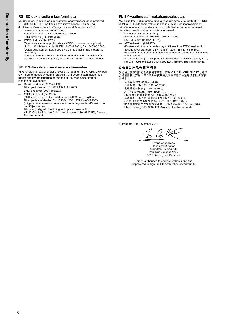### **RS: EC deklaracija o konformitetu**

Mi, Grundfos, izjavljujemo pod vlastitom odgovornošću da je proizvod CR, CRI, CRN i CRT, na koji se ova izjava odnosi, u skladu sa direktivama Saveta za usklađivanje zakona država članica EU:

- Direktiva za mašine (2006/42/EC).
- Korišćen standard: EN 809:1998, A1:2009.
- EMC direktiva (2004/108/EC). — ATEX direktiva (94/9/EC).
- (Odnosi se samo na proizvode sa ATEX oznakom na natpisnoj pločici.) Korišćeni standardi: EN 13463-1:2001, EN 13463-5:2003. (Deklaracija konformiteta i uputstva za instalaciju i rad motora su priloženi.)

Nadležno telo ima kopiju tehničkih podataka: KEMA Quality B.V., No 0344. Utrechtseweg 310, 6802 ED, Arnhem, The Netherlands.

### **SE: EG-försäkran om överensstämmelse**

Vi, Grundfos, försäkrar under ansvar att produkterna CR, CRI, CRN och CRT, som omfattas av denna försäkran, är i överensstämmelse med rådets direktiv om inbördes närmande till EU-medlemsstaternas lagstiftning, avseende:

- Maskindirektivet (2006/42/EG).
- Tillämpad standard: EN 809:1998, A1:2009.
- EMC-direktivet (2004/108/EG).
- ATEX-direktivet (94/9/EG).
- (Gäller endast produkter märkta med ATEX på typskylten.) Tillämpade standarder: EN 13463-1:2001, EN 13463-5:2003. (Intyg om överensstämmelse samt monterings- och driftsinstruktion medföljer motorn.)
- Tillsynsmyndighet i besittning av kopia av teknisk fil: KEMA Quality B.V., No 0344. Utrechtseweg 310, 6802 ED, Arnhem, The Netherlands.

### **FI: EY-vaatimustenmukaisuusvakuutus**

Me, Grundfos, vakuutamme omalla vastuullamme, että tuotteet CR, CRI, CRN ja CRT, joita tämä vakuutus koskee, ovat EY:n jäsenvaltioiden lainsäädännön yhdenmukaistamiseen tähtäävien Euroopan neuvoston direktiivien vaatimusten mukaisia seuraavasti:

- Konedirektiivi (2006/42/EY). Sovellettu standardi: EN 809:1998, A1:2009.
- EMC-direktiivi (2004/108/EY).
- ATEX-direktiivi (94/9/EY).

(Koskee vain tuotteita, joiden tyyppikilvessä on ATEX-merkinnät.) Sovellettavat standardit: EN 13463-1:2001, EN 13463-5:2003. (Moottorin vaatimustenmukaisuusvakuutus ja käyttöohjeet sisältyvät toimitukseen.) Ilmoitettu laitos, joka ylläpitää teknistä tiedostoa: KEMA Quality B.V.,

No 0344. Utrechtseweg 310, 6802 ED, Arnhem, The Netherlands.

### **CN: EC** 产品合格声明书

我们格兰富在我们的全权责任下声明,产品 CR, CRI, CRN 和 CRT,即该 合格证所指之产品,符合欧共体使其成员国法律趋于一致的以下欧共理事 会指令:

- 
- 机械设备指令 (2006/42/EC)。 所用标准 : EN 809:1998, A1:2009。
- 电磁兼容性指令 (2004/108/EC)。 — ATEX ( 欧洲防爆 ) 指令 (94/9/EC)。 ( 仅适用于铭牌上带有 ATEX 标志的产品。) 采用标准 : EN 13463-1:2001 和 EN 13463-5:2003。<br>( 产品合格声明书以及电机的安装与操作指导内函。)<br>被通知的技术文件拷贝持有团体 : KEMA Quality B.V., No 0344.<br>Utrechtseweg 310, 6802 ED, Arnhem, The Netherlands.

Bjerringbro, 1st November 2011

Qo. Uo

Svend Aage Kaae Technical Director Grundfos Holding A/S Poul Due Jensens Vej 7 8850 Bjerringbro, Denmark

Person authorised to compile technical file and empowered to sign the EC declaration of conformity.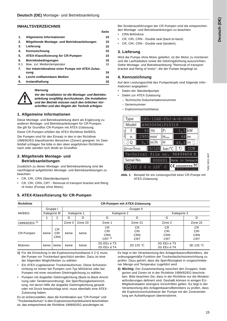### **INHALTSVERZEICHNIS**

| 1.  | Allgemeine Informationen                       | 15 |
|-----|------------------------------------------------|----|
| 2.  | Mitgeltende Montage- und Betriebsanleitungen   | 15 |
| 3.  | Lieferung                                      | 15 |
| 4.  | Kennzeichnung                                  | 15 |
| 5.  | ATEX-Klassifizierung für CR-Pumpen             | 15 |
| 6.  | Betriebsbedingungen                            | 16 |
| 6.1 | Max. zul. Medientemperatur                     | 16 |
| 7.  | Vor Inbetriebnahme einer Pumpe mit ATEX-Zulas- |    |
|     | sung                                           | 16 |
| 8.  | Leicht entflammbare Medien                     | 16 |
| 9.  | Instandhaltung                                 | 16 |

### *Warnung*



*Vor der Installation ist die Montage- und Betriebsanleitung sorgfältig durchzulesen. Die Installation und der Betrieb müssen nach den örtlichen Vorschriften und den Regeln der Technik erfolgen.*

### <span id="page-5-0"></span>**1. Allgemeine Informationen**

Diese Montage- und Betriebsanleitung dient als Ergänzung zu anderen Montage- und Betriebsanleitungen für CR-Pumpen. Sie gilt für Grundfos CR-Pumpen mit ATEX-Zulassung.

Diese CR-Pumpen erfüllen die ATEX-Richtlinie 94/9/EG.

Die Pumpen sind für den Einsatz in den in der Richtlinie 1999/92/EG klassifizierten Bereichen (Zonen) geeignet. Im Zweifelsfall schlagen Sie bitte in den oben angeführten Richtlinien nach oder wenden sich direkt an Grundfos.

### <span id="page-5-1"></span>**2. Mitgeltende Montage- und Betriebsanleitungen**

Zusätzlich zu dieser Montage- und Betriebsanleitung sind die nachfolgend aufgeführten Montage- und Betriebsanleitungen zu beachten:

- CR, CRI, CRN (Standardpumpen)
- CR, CRI, CRN, CRT Removal of transport bracket and fitting of motor (Pumpe ohne Motor).

## <span id="page-5-4"></span>**5. ATEX-Klassifizierung für CR-Pumpen**

Bei Sonderausführungen der CR-Pumpen sind die entsprechenden Montage -und Betriebsanleitungen zu beachten.

• CRN MAGdrive

**Seite**

- CR, CRI, CRN Double seal (back-to-back)
- CR, CRI, CRN Double seal (tandem).

### <span id="page-5-2"></span>**3. Lieferung**

Wird die Pumpe ohne Motor geliefert, ist der Motor zu montieren und die Laufradsätze sowie die Gleitringdichtung auszurichten. Siehe Montage- und Betriebsanleitung "Removal of transport bracket and fitting of motor", die der Pumpe beigelegt ist.

### <span id="page-5-3"></span>**4. Kennzeichnung**

Auf dem Leistungsschild des Pumpenkopfs sind folgende Informationen angegeben:

- Daten der Standardpumpe
	- Daten zur ATEX-Zulassung
	- Technische Dokumentationsnummer
	- Seriennummer
	- Explosionsschutzklasse.



**Abb. 1** Beispiel für ein Leistungschild einer CR-Pumpe mit ATEX-Zulassung

| <b>Richtlinie</b> | <b>CR-Pumpen mit ATEX-Zulassung</b> |                                |             |         |                                                 |                                       |                                       |                                              |  |  |
|-------------------|-------------------------------------|--------------------------------|-------------|---------|-------------------------------------------------|---------------------------------------|---------------------------------------|----------------------------------------------|--|--|
|                   |                                     | Gruppe I                       | Gruppe II   |         |                                                 |                                       |                                       |                                              |  |  |
| 94/9/EG           | Kategorie M                         |                                | Kategorie 1 |         | Kategorie 2                                     |                                       | Kategorie 3                           |                                              |  |  |
|                   |                                     |                                | G           | D       | G                                               | D                                     | G                                     | D                                            |  |  |
| 1999/92/EG $^{2}$ |                                     |                                | Zone 0      | Zone 20 | Zone 1                                          | Zone 21                               | Zone 2                                | Zone 22                                      |  |  |
| CR-Pumpen         | keine                               | <b>CR</b><br>CRI<br><b>CRN</b> | keine       | keine   | CR.<br>CRI<br><b>CRN</b><br>$CRT$ <sup>1)</sup> | <b>CR</b><br>CRI<br>CRN<br><b>CRT</b> | <b>CR</b><br>CRI<br>CRN<br><b>CRT</b> | <b>CR</b><br>CRI<br><b>CRN</b><br><b>CRT</b> |  |  |
| Motoren           | keine                               | keine                          | keine       | keine   | 2G EEx e T3<br>2G EEx d T4                      | 2D 125 °C                             | 2G EEx e T3<br>2G EEx d T4            | 3D 125 °C                                    |  |  |

**1)** Für die Einstufung in die Explosionsschutzklasse II 2 G muss die Pumpe vor Trockenlauf geschützt werden. Dazu ist eine der folgenden Möglichkeiten zu wählen:

• Ein ATEX-zugelassener Trockenlaufschutz. Diese Schutzeinrichtung ist immer bei Pumpen vom Typ MAGdrive oder bei Pumpen mit einer einzelnen Gleitringdichtung zu wählen.

• Pumpen mit doppelter Gleitringdichtung (Back-to-Back-Anordnung oder Tandemanordnung). Die Sperrflüssigkeitseinrichtung, mit deren Hilfe die doppelte Gleitringdichtung gespült oder mit Druck beaufschlagt wird, muss ebenfalls eine ATEX-Zulassung haben.

Es ist sicherzustellen, dass die Kombination aus "CR-Pumpe" und "Trockenlaufschutz" in dem Explosionsschutzdokument beschrieben ist, das entsprechend der Richtlinie 1999/92/EG anzufertigen ist.

Es liegt in der Verantwortung des Anlagenbauers/Betreibers, die ordnungsgemäße Funktion der Trockenlaufschutzeinrichtung zu prüfen. Dazu gehört, dass die Sperrflüssigkeit in vorgeschriebener Menge und Temperatur zugeführt wird.

**2) Wichtig:** Der Zusammenhang zwischen den Gruppen, Kategorien und Zonen ist in der Richtlinie 1999/92/EG beschrieben. Bitte beachten Sie, dass in der Richtlinie nur die Mindestanforderungen definiert sind. Deshalb können in einigen EU-Mitgliedsstaaten strengere Vorschriften gelten. Es liegt in der Verantwortung des Anlagenbauers/Betreibers zu prüfen, dass die Explosionsschutzklasse der Pumpe mit der Zoneneinteilung am Aufstellungsort übereinstimmt.

TM02 6815 4007

M02 6815 4007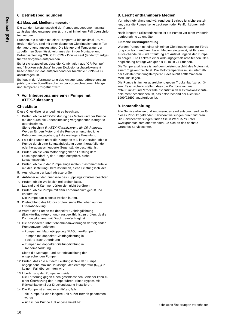### <span id="page-6-0"></span>**6. Betriebsbedingungen**

### <span id="page-6-1"></span>**6.1 Max. zul. Medientemperatur**

Die auf dem Leistungsschild der Pumpe angegebene maximal zulässige Medientemperatur  $(t_{\text{max}})$  darf in keinem Fall überschritten werden.

Pumpen, die Medien mit einer Temperatur bis maximal 150 °C fördern dürfen, sind mit einer doppelten Gleitringdichtung in Tandemanordnung ausgestattet. Die Menge und Temperatur der zugeführten Sperrflüssigkeit muss den in der Montage- und Betriebsanleitung "CR, CRI, CRN - Double seal (tandem)" aufgeführten Vorgaben entsprechen.

Es ist sicherzustellen, dass die Kombination aus "CR-Pumpe" und "Trockenlaufschutz" in dem Explosionsschutzdokument beschrieben ist, das entsprechend der Richtlinie 1999/92/EG anzufertigen ist.

Es liegt in der Verantwortung des Anlagenbauers/Betreibers zu prüfen, ob die Sperrflüssigkeit in der vorgeschriebenen Menge und Temperatur zugeführt wird.

### <span id="page-6-2"></span>**7. Vor Inbetriebnahme einer Pumpe mit ATEX-Zulassung**

### **Checkliste**

Diese Checkliste ist unbedingt zu beachten:

1. Prüfen, ob die ATEX-Einstufung des Motors und der Pumpe mit der durch die Zoneneinteilung vorgegebenen Kategorie übereinstimmt.

Siehe Abschnitt *[5. ATEX-Klassifizierung für CR-Pumpen](#page-5-4)*. Werden für den Motor und die Pumpe unterschiedliche Kategorien angegeben, gilt die niedrigere Einstufung.

- 2. Fällt die Pumpe unter die Kategorie M2, ist zu prüfen, ob die Pumpe durch eine Schutzabdeckung gegen herabfallende oder herausgeschleuderte Gegenstände geschützt ist.
- 3. Prüfen, ob die vom Motor abgegebene Leistung dem Leistungsbedarf P<sub>2</sub> der Pumpe entspricht, siehe Leistungsschilder.
- 4. Prüfen, ob die in der Pumpe eingesetzten Elastomerbauteile mit der Bestellung übereinstimmen, siehe Leistungsschilder.
- 5. Ausrichtung der Laufradsätze prüfen.
- 6. Aufkleber auf der Innenseite des Kupplungsschutzes beachten.
- 7. Prüfen, ob die Welle sich frei drehen lässt. Laufrad und Kammer dürfen sich nicht berühren.
- 8. Prüfen, ob die Pumpe mit dem Fördermedium gefüllt und entlüftet ist.
	- Die Pumpe darf niemals trocken laufen.
- 9. Drehrichtung des Motors prüfen, siehe Pfeil oben auf der Lüfterabdeckung.
- 10. Wurde eine Pumpe mit doppelter Gleitringdichtung (Back-to-Back-Anordnung) ausgewählt, ist zu prüfen, ob die Dichtungskammer mit Druck beaufschlagt ist.
- 11. Die besonderen Inbetriebnahmeanweisungen der folgenden Pumpentypen befolgen:
	- Pumpen mit Magnetkupplung (MAGdrive-Pumpen)
	- Pumpen mit doppelter Gleitringdichtung in Back-to-Back-Anordnung
	- Pumpen mit doppelter Gleitringdichtung in Tandemanordnung.

Siehe die Montage- und Betriebsanleitung der entsprechenden Pumpe.

- 12. Prüfen, dass die auf dem Leistungsschild der Pumpe angegebene maximal zulässige Medientemperatur (t<sub>max</sub>) in keinem Fall überschritten wird.
- 13. Überhitzung der Pumpe vermeiden. Die Förderung gegen einen geschlossenen Schieber kann zu einer Überhitzung der Pumpe führen. Einen Bypass mit Rückschlagventil zur Druckentlastung installieren.
- 14. Die Pumpe ist erneut zu entlüften, falls
	- die Pumpe für eine längere Zeit außer Betrieb genommen wurde
	- sich in der Pumpe Luft angesammelt hat.

## <span id="page-6-3"></span>**8. Leicht entflammbare Medien**

Vor Inbetriebnahme und während des Betriebs ist sicherzustellen, dass die Pumpe keine Leckagen oder Fehlfunktionen aufweist.

Nach längeren Stillstandszeiten ist die Pumpe vor einer Wiederinbetriebnahme zu entlüften.

### **Einfache Gleitringdichtung**

Werden Pumpen mit einer einzelnen Gleitringdichtung zur Förderung von leicht entflammbaren Medien eingesetzt, ist für eine ausreichende Be- und Entlüftung am Aufstellungsort der Pumpe zu sorgen. Die Leckrate einer ordnungsgemäß arbeitenden Gleitringdichtung beträgt weniger als 10 ml in 24 Stunden.

Die Temperaturklasse ist auf dem Leistungsschild des Motors mit einem T gekennzeichnet. Die Motortemperatur muss unterhalb der Selbstentzündungstemperatur des leicht entflammbaren Mediums liegen.

Die Pumpe ist immer ausreichend gegen Trockenlauf zu schützen. Es ist sicherzustellen, dass die Kombination aus "CR-Pumpe" und "Trockenlaufschutz" in dem Explosionsschutzdokument beschrieben ist, das entsprechend der Richtlinie 1999/92/EG anzufertigen ist.

### <span id="page-6-4"></span>**9. Instandhaltung**

Alle Servicearbeiten und Anpassungen sind entsprechend der für dieses Produkt geltenden Serviceanweisungen durchzuführen. Die Serviceanweisungen finden Sie in WebCAPS unter www.grundfos.com oder wenden Sie sich an das nächste Grundfos Servicecenter.

16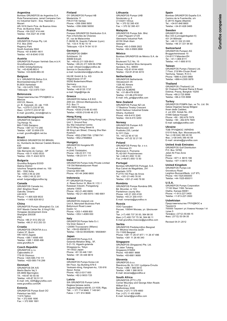**Argentina** Bombas GRUNDFOS de Argentina S.A. Ruta Panamericana, ramal Campana Centro Industrial Garín - Esq. Haendel y Mozart AR-1619 Garín Pcia. de Buenos Aires Pcia. de Buenos Aires Phone: +54-3327 414 444

Telefax: +54-3327 45 3190

**Australia** GRUNDFOS Pumps Pty. Ltd. P.O. Box 2040 Regency Park South Australia 5942 Phone: +61-8-8461-4611

#### Telefax: +61-8-8340 0155

**Austria** GRUNDFOS Pumpen Vertrieb Ges.m.b.H. Grundfosstraße 2 A-5082 Grödig/Salzburg Tel.: +43-6246-883-0 Telefax: +43-6246-883-30

**Belgium** N.V. GRUNDFOS Bellux S.A. Boomsesteenweg 81-83 B-2630 Aartselaar Tél.: +32-3-870 7300 Télécopie: +32-3-870 7301

**Belorussia** Представительство ГРУНДФОС в Минске 220123, Минск, ул. В. Хоружей, 22, оф. 1105 Тел.: +(37517) 233 97 65, Факс: +(37517) 233 97 69 E-mail: grundfos\_minsk@mail.ru

### **Bosnia/Herzegovina**

GRUNDFOS Sarajevo Trg Heroja 16, BiH-71000 Sarajevo Phone: +387 33 713 290 Telefax: +387 33 659 079 e-mail: grundfos@bih.net.ba

### **Brazil**

BOMBAS GRUNDFOS DO BRASIL Av. Humberto de Alencar Castelo Branco,  $630$ CEP 09850 - 300 São Bernardo do Campo - SP Phone: +55-11 4393 5533 Telefax: +55-11 4343 5015

#### **Bulgaria**

Grundfos Bulgaria EOOD Slatina District Iztochna Tangenta street no. 100 BG - 1592 Sofia Tel. +359 2 49 22 200 Fax. +359 2 49 22 201 email: bulgaria@grundfos.bg

#### **Canada**

GRUNDFOS Canada Inc. 2941 Brighton Road Oakville, Ontario L6H 6C9 Phone: +1-905 829 9533 Telefax: +1-905 829 9512

#### **China**

GRUNDFOS Pumps (Shanghai) Co. Ltd. 50/F Maxdo Center No. 8 XingYi Rd. Hongqiao development Zone Shanghai 200336 PRC Phone: +86 21 612 252 22 Telefax: +86 21 612 253 33

#### **Croatia**

GRUNDFOS CROATIA d.o.o. Cebini 37, Buzin HR-10010 Zagreb Phone: +385 1 6595 400 Telefax: +385 1 6595 499 www.grundfos.hr

### **Czech Republic**

GRUNDFOS s.r.o. Čajkovského 21 779 00 Olomouc Phone: +420-585-716 111 Telefax: +420-585-716 299

#### **Denmark**

GRUNDFOS DK A/S Martin Bachs Vej 3 DK-8850 Bjerringbro Tlf.: +45-87 50 50 50 Telefax: +45-87 50 51 51 E-mail: info\_GDK@grundfos.com www.grundfos.com/DK

#### **Estonia**

GRUNDFOS Pumps Eesti OÜ Peterburi tee 92G 11415 Tallinn Tel: + 372 606 1690 Fax: + 372 606 1691

**Finland** OY GRUNDFOS Pumput AB Mestarintie 11 FIN-01730 Vantaa Phone: +358-3066 5650 Telefax: +358-3066 56550

**France** Pompes GRUNDFOS Distribution S.A. Parc d'Activités de Chesnes 57, rue de Malacombe F-38290 St. Quentin Fallavier (Lyon) Tél.: +33-4 74 82 15 15 Télécopie: +33-4 74 94 10 51

**Germany** GRUNDFOS GMBH Schlüterstr. 33 40699 Erkrath Tel.: +49-(0) 211 929 69-0 Telefax: +49-(0) 211 929 69-3799 e-mail: infoservice@grundfos.de Service in Deutschland: e-mail: kundendienst@grundfos.de

HILGE GmbH & Co. KG Hilgestrasse 37-47 55292 Bodenheim/Rhein Germany Tel.: +49 6135 75-0 Telefax: +49 6135 1737 e-mail: hilge@hilge.de

#### **Greece**

GRUNDFOS Hellas A.E.B.E. 20th km. Athinon-Markopoulou Av. P.O. Box 71 GR-19002 Peania Phone: +0030-210-66 83 400 Telefax: +0030-210-66 46 273

**Hong Kong**<br>GRUNDFOS Pumps (Hong Kong) Ltd.<br>Unit 1, Ground floor Siu Wai Industrial Centre 29-33 Wing Hong Street & 68 King Lam Street, Cheung Sha Wan Kowloon Phone: +852-27861706 / 27861741 Telefax: +852-27858664

#### **Hungary**

GRUNDFOS Hungária Kft. Park u. 8 H-2045 Törökbálint, Phone: +36-23 511 110 Telefax: +36-23 511 111 **India**

GRUNDFOS Pumps India Private Limited 118 Old Mahabalipuram Road Thoraipakkam Chennai 600 096 Phone: +91-44 2496 6800

### **Indonesia**

PT GRUNDFOS Pompa Jl. Rawa Sumur III, Blok III / CC-1 Kawasan Industri, Pulogadung Jakarta 13930 Phone: +62-21-460 6909 Telefax: +62-21-460 6910 / 460 6901

#### **Ireland**

GRUNDFOS (Ireland) Ltd. Unit A, Merrywell Business Park Ballymount Road Lower Dublin 12 Phone: +353-1-4089 800 Telefax: +353-1-4089 830

**Italy** GRUNDFOS Pompe Italia S.r.l. Via Gran Sasso 4 I-20060 Truccazzano (Milano) Tel.: +39-02-95838112 Telefax: +39-02-95309290 / 95838461

**Japan** GRUNDFOS Pumps K.K. Gotanda Metalion Bldg., 5F, 5-21-15, Higashi-gotanda Shiagawa-ku, Tokyo 141-0022 Japan Phone: +81 35 448 1391 Telefax: +81 35 448 9619

#### **Korea**

GRUNDFOS Pumps Korea Ltd. 6th Floor, Aju Building 679-5 Yeoksam-dong, Kangnam-ku, 135-916 Seoul, Korea Phone: +82-2-5317 600 Telefax: +82-2-5633 725

### **Latvia**

SIA GRUNDFOS Pumps Latvia Deglava biznesa centrs Augusta Deglava ielā 60, LV-1035, Rīga, Tālr.: + 371 714 9640, 7 149 641 Fakss: + 371 914 9646

**Lithuania** GRUNDFOS Pumps UAB Smolensko g. 6 LT-03201 Vilnius Tel: + 370 52 395 430 Fax: + 370 52 395 431

**Malaysia** GRUNDFOS Pumps Sdn. Bhd. 7 Jalan Peguam U1/25 Glenmarie Industrial Park 40150 Shah Alam Selangor Phone: +60-3-5569 2922 Telefax: +60-3-5569 2866

#### **México**

Bombas GRUNDFOS de México S.A. de  $\overline{C.V.}$ Boulevard TLC No. 15 Parque Industrial Stiva Aeropuerto Apodaca, N.L. 66600 Phone: +52-81-8144 4000 Telefax: +52-81-8144 4010

#### **Netherlands** GRUNDFOS Netherlands

Veluwezoom 35 1326 AE Almere Postbus 22015 1302 CA ALMERE Tel.: +31-88-478 6336 Telefax: +31-88-478 6332 E-mail: info\_gnl@grundfos.com

#### **New Zealand**

GRUNDFOS Pumps NZ Ltd. 17 Beatrice Tinsley Crescent North Harbour Industrial Estate Albany, Auckland Phone: +64-9-415 3240 Telefax: +64-9-415 3250

#### **Norway** GRUNDFOS Pumper A/S Strømsveien 344

Postboks 235, Leirdal N-1011 Oslo Tlf.: +47-22 90 47 00 Telefax: +47-22 32 21 50 **Poland**

## GRUNDFOS Pompy Sp. z o.o. ul. Klonowa 23 Baranowo k. Poznania PL-62-081 Przeźmierowo Tel: (+48-61) 650 13 00 Fax: (+48-61) 650 13 50

### **Portugal**

Bombas GRUNDFOS Portugal, S.A. Rua Calvet de Magalhães, 241 Apartado 1079 P-2770-153 Paço de Arcos Tel.: +351-21-440 76 00 Telefax: +351-21-440 76 90

#### **România**

GRUNDFOS Pompe România SRL Bd. Biruintei, nr 103 Pantelimon county Ilfov Phone: +40 21 200 4100 Telefax: +40 21 200 4101 E-mail: romania@grundfos.ro

#### **Russia**

ООО Грундфос Россия, 109544 Москва, ул. Школьная  $\frac{1}{3}a$ Тел. (+7) 495 737 30 00, 564 88 00 Факс (+7) 495 737 75 36, 564 88 11 E-mail grundfos.moscow@grundfos.com

**Serbia**  GRUNDFOS Predstavništvo Beograd Dr. Milutina Ivkovića 2a/29 YU-11000 Beograd Phone: +381 11 26 47 877 / 11 26 47 496 Telefax: +381 11 26 48 340

### **Singapore**

GRUNDFOS (Singapore) Pte. Ltd. 25 Jalan Tukang Singapore 619264 Phone: +65-6681 9688 Telefax: +65-6681 9689

## **Slovenia** GRUNDFOS d.o.o.

Šlandrova 8b, SI-1231 Ljubljana-Črnuče Phone: +386 1 568 0610 Telefax: +386 1 568 0619 E-mail: slovenia@grundfos.si

### **South Africa**

GRUNDFOS (PTY) LTD Corner Mountjoy and George Allen Roads Wilbart Ext. 2 Bedfordview 2008 Phone: (+27) 11 579 4800 Fax: (+27) 11 455 6066 E-mail: lsmart@grundfos.com

#### **Spain**

Bombas GRUNDFOS España S.A. Camino de la Fuentecilla, s/n E-28110 Algete (Madrid) Tel.: +34-91-848 8800 Telefax: +34-91-628 0465

Grundfos companies

Grundfos companies

#### **Sweden**

GRUNDFOS AB Box 333 (Lunnagårdsgatan 6) 431 24 Mölndal Tel.: +46 31 332 23 000 Telefax: +46 31 331 94 60

#### **Switzerland**

GRUNDFOS Pumpen AG Bruggacherstrasse 10 CH-8117 Fällanden/ZH Tel.: +41-1-806 8111 Telefax: +41-1-806 8115

#### **Taiwan**

GRUNDFOS Pumps (Taiwan) Ltd. 7 Floor, 219 Min-Chuan Road Taichung, Taiwan, R.O.C. Phone: +886-4-2305 0868 Telefax: +886-4-2305 0878

#### **Thailand**

GRUNDFOS (Thailand) Ltd. 92 Chaloem Phrakiat Rama 9 Road, Dokmai, Pravej, Bangkok 10250 Phone: +66-2-725 8999 Telefax: +66-2-725 8998

**Turkey** GRUNDFOS POMPA San. ve Tic. Ltd. Sti. Gebze Organize Sanayi Bölgesi Ihsan dede Caddesi, 2. yol 200. Sokak No. 204 41490 Gebze/ Kocaeli Phone: +90 - 262-679 7979 Telefax: +90 - 262-679 7905 E-mail: satis@grundfos.com

#### **Ukraine**

ТОВ ГРУНДФОС УКРАЇНА 01010 Київ, Вул. Московська 8б, Тел.:(+38 044) 390 40 50 Фах.: (+38 044) 390 40 59 E-mail: ukraine@grundfos.com

### **United Arab Emirates**

GRUNDFOS Gulf Distribution P.O. Box 16768 Jebel Ali Free Zone Dubai Phone: +971 4 8815 166 Telefax: +971 4 8815 136

### **United Kingdom**

GRUNDFOS Pumps Ltd. Grovebury Road Leighton Buzzard/Beds. LU7 8TL Phone: +44-1525-850000 Telefax: +44-1525-850011

**Usbekistan**

Ташкенте

тупик 5

**U.S.A.** GRUNDFOS Pumps Corporation 17100 West 118th Terrace Olathe, Kansas 66061 Phone: +1-913-227-3400 Telefax: +1-913-227-3500

Телефон: (3712) 55-68-15 Факс: (3712) 53-36-35 Revised 04.01.2012

Представительство ГРУНДФОС в

700000 Ташкент ул.Усмана Носира 1-й